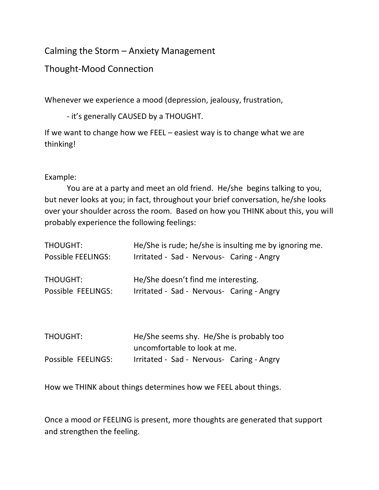## Calming the Storm – Anxiety Management

## Thought-Mood Connection

Whenever we experience a mood (depression, jealousy, frustration,

- it's generally CAUSED by a THOUGHT.

If we want to change how we FEEL – easiest way is to change what we are thinking!

## Example:

You are at a party and meet an old friend. He/she begins talking to you, but never looks at you; in fact, throughout your brief conversation, he/she looks over your shoulder across the room. Based on how you THINK about this, you will probably experience the following feelings:

| THOUGHT:           | He/She is rude; he/she is insulting me by ignoring me. |
|--------------------|--------------------------------------------------------|
| Possible FEELINGS: | Irritated - Sad - Nervous- Caring - Angry              |
| THOUGHT:           | He/She doesn't find me interesting.                    |
| Possible FEELINGS: | Irritated - Sad - Nervous- Caring - Angry              |

| <b>THOUGHT:</b>    | He/She seems shy. He/She is probably too  |
|--------------------|-------------------------------------------|
|                    | uncomfortable to look at me.              |
| Possible FEELINGS: | Irritated - Sad - Nervous- Caring - Angry |

How we THINK about things determines how we FEEL about things.

Once a mood or FEELING is present, more thoughts are generated that support and strengthen the feeling.